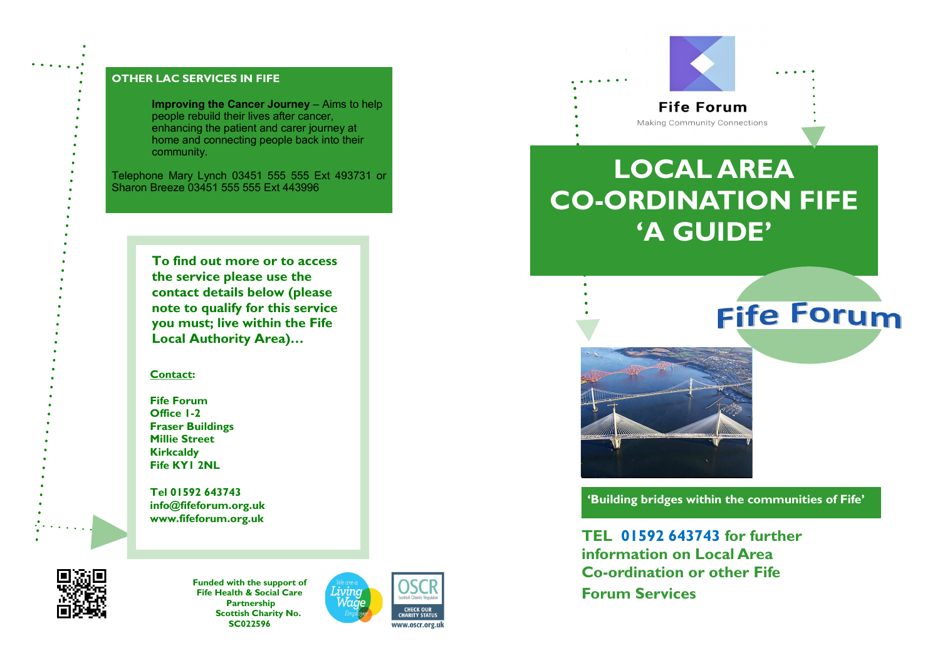### **OTHER LAC SERVICES IN FIFE**

**Improving the Cancer Journey** – Aims to help people rebuild their lives after cancer, enhancing the patient and carer journey at home and connecting people back into their community.

Telephone Mary Lynch 03451 555 555 Ext 493731 or Sharon Breeze 03451 555 555 Ext 443996

> **To find out more or to access the service please use the contact details below (please note to qualify for this service you must; live within the Fife Local Authority Area)…**

#### **Contact:**

**Fife Forum Office 1-2 Fraser Buildings Millie Street Kirkcaldy Fife KY1 2NL**

**Tel 01592 643743 info@fifeforum.org.uk www.fifeforum.org.uk**



**Funded with the support of Fife Health & Social Care Partnership Scottish Charity No. SC022596**





# **LOCAL AREA CO-ORDINATION FIFE 'A GUIDE'**

# **Fife Forum**



**'Building bridges within the communities of Fife'**

**TEL 01592 643743 for further information on Local Area Co-ordination or other Fife Forum Services**